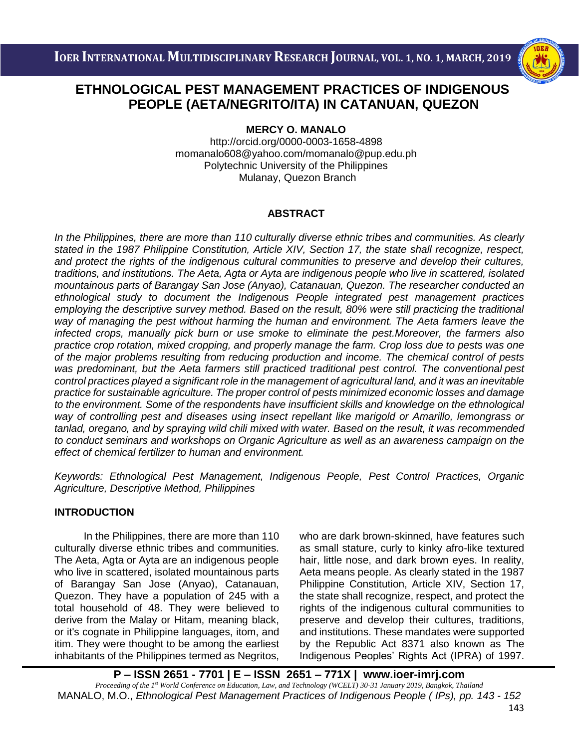

## i<br>I  **PEOPLE (AETA/NEGRITO/ITA) IN CATANUAN, QUEZON ETHNOLOGICAL PEST MANAGEMENT PRACTICES OF INDIGENOUS**

**MERCY O. MANALO**

http://orcid.org/0000-0003-1658-4898 [momanalo608@yahoo.com/momanalo@pup.edu.ph](mailto:momanalo608@yahoo.com/momanalo@pup.edu.ph) Polytechnic University of the Philippines Mulanay, Quezon Branch

## **ABSTRACT**

*In the Philippines, there are more than 110 culturally diverse ethnic tribes and communities. As clearly stated in the 1987 Philippine Constitution, Article XIV, Section 17, the state shall recognize, respect, and protect the rights of the indigenous cultural communities to preserve and develop their cultures, traditions, and institutions. The Aeta, Agta or Ayta are indigenous people who live in scattered, isolated mountainous parts of Barangay San Jose (Anyao), Catanauan, Quezon. The researcher conducted an ethnological study to document the Indigenous People integrated pest management practices employing the descriptive survey method. Based on the result, 80% were still practicing the traditional way of managing the pest without harming the human and environment. The Aeta farmers leave the infected crops, manually pick burn or use smoke to eliminate the pest.Moreover, the farmers also practice crop rotation, mixed cropping, and properly manage the farm. Crop loss due to pests was one of the major problems resulting from reducing production and income. The chemical control of pests was predominant, but the Aeta farmers still practiced traditional pest control. The conventional pest control practices played a significant role in the management of agricultural land, and it was an inevitable practice for sustainable agriculture. The proper control of pests minimized economic losses and damage to the environment. Some of the respondents have insufficient skills and knowledge on the ethnological way of controlling pest and diseases using insect repellant like marigold or Amarillo, lemongrass or tanlad, oregano, and by spraying wild chili mixed with water. Based on the result, it was recommended to conduct seminars and workshops on Organic Agriculture as well as an awareness campaign on the effect of chemical fertilizer to human and environment.*

*Keywords: Ethnological Pest Management, Indigenous People, Pest Control Practices, Organic Agriculture, Descriptive Method, Philippines*

## **INTRODUCTION**

In the Philippines, there are more than 110 culturally diverse ethnic tribes and communities. The Aeta, Agta or Ayta are an indigenous people who live in scattered, isolated mountainous parts of Barangay San Jose (Anyao), Catanauan, Quezon. They have a population of 245 with a total household of 48. They were believed to derive from the Malay or Hitam, meaning black, or it's cognate in Philippine languages, itom, and itim. They were thought to be among the earliest inhabitants of the Philippines termed as Negritos,

who are dark brown-skinned, have features such as small stature, curly to kinky afro-like textured hair, little nose, and dark brown eyes. In reality, Aeta means people. As clearly stated in the 1987 Philippine Constitution, Article XIV, Section 17, the state shall recognize, respect, and protect the rights of the indigenous cultural communities to preserve and develop their cultures, traditions, and institutions. These mandates were supported by the Republic Act 8371 also known as The Indigenous Peoples' Rights Act (IPRA) of 1997.

**P – ISSN 2651 - 7701 | E – ISSN 2651 – 771X | [www.ioer-imrj.com](http://www.ioer-imrj.com/)** *Proceeding of the 1st World Conference on Education, Law, and Technology (WCELT) 30-31 January 2019, Bangkok, Thailand* MANALO, M.O., *Ethnological Pest Management Practices of Indigenous People ( IPs), pp. 143 - 152*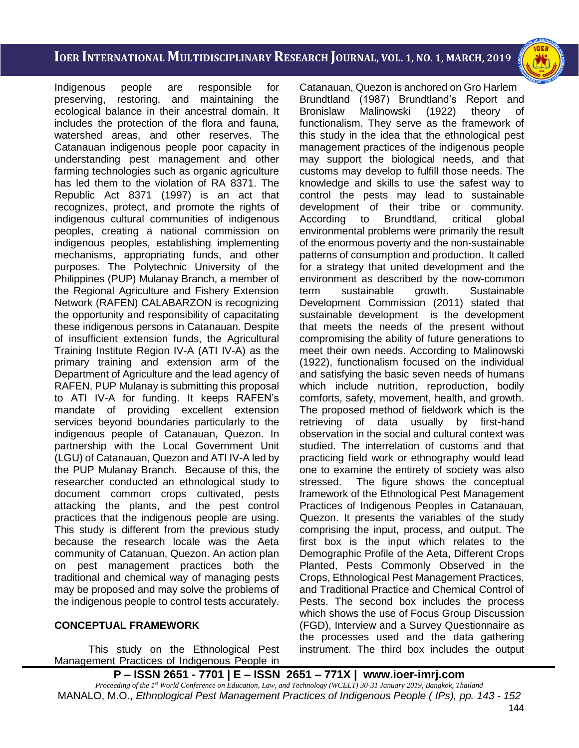i<br>I

Indigenous people are responsible for preserving, restoring, and maintaining the ecological balance in their ancestral domain. It includes the protection of the flora and fauna, watershed areas, and other reserves. The Catanauan indigenous people poor capacity in understanding pest management and other farming technologies such as organic agriculture has led them to the violation of RA 8371. The Republic Act 8371 (1997) is an act that recognizes, protect, and promote the rights of indigenous cultural communities of indigenous peoples, creating a national commission on indigenous peoples, establishing implementing mechanisms, appropriating funds, and other purposes. The Polytechnic University of the Philippines (PUP) Mulanay Branch, a member of the Regional Agriculture and Fishery Extension Network (RAFEN) CALABARZON is recognizing the opportunity and responsibility of capacitating these indigenous persons in Catanauan. Despite of insufficient extension funds, the Agricultural Training Institute Region IV-A (ATI IV-A) as the primary training and extension arm of the Department of Agriculture and the lead agency of RAFEN, PUP Mulanay is submitting this proposal to ATI IV-A for funding. It keeps RAFEN's mandate of providing excellent extension services beyond boundaries particularly to the indigenous people of Catanauan, Quezon. In partnership with the Local Government Unit (LGU) of Catanauan, Quezon and ATI IV-A led by the PUP Mulanay Branch. Because of this, the researcher conducted an ethnological study to document common crops cultivated, pests attacking the plants, and the pest control practices that the indigenous people are using. This study is different from the previous study because the research locale was the Aeta community of Catanuan, Quezon. An action plan on pest management practices both the traditional and chemical way of managing pests may be proposed and may solve the problems of the indigenous people to control tests accurately.

### **CONCEPTUAL FRAMEWORK**

This study on the Ethnological Pest Management Practices of Indigenous People in

Catanauan, Quezon is anchored on Gro Harlem Brundtland (1987) Brundtland's Report and Bronislaw Malinowski (1922) theory of functionalism. They serve as the framework of this study in the idea that the ethnological pest management practices of the indigenous people may support the biological needs, and that customs may develop to fulfill those needs. The knowledge and skills to use the safest way to control the pests may lead to sustainable development of their tribe or community. According to Brundtland, critical global environmental problems were primarily the result of the enormous poverty and the non-sustainable patterns of consumption and production. It called for a strategy that united development and the environment as described by the now-common term sustainable growth. Sustainable Development Commission (2011) stated that sustainable development is the development that meets the needs of the present without compromising the ability of future generations to meet their own needs. According to Malinowski (1922), functionalism focused on the individual and satisfying the basic seven needs of humans which include nutrition, reproduction, bodily comforts, safety, movement, health, and growth. The proposed method of fieldwork which is the retrieving of data usually by first-hand observation in the social and cultural context was studied. The interrelation of customs and that practicing field work or ethnography would lead one to examine the entirety of society was also stressed. The figure shows the conceptual framework of the Ethnological Pest Management Practices of Indigenous Peoples in Catanauan, Quezon. It presents the variables of the study comprising the input, process, and output. The first box is the input which relates to the Demographic Profile of the Aeta, Different Crops Planted, Pests Commonly Observed in the Crops, Ethnological Pest Management Practices, and Traditional Practice and Chemical Control of Pests. The second box includes the process which shows the use of Focus Group Discussion (FGD), Interview and a Survey Questionnaire as the processes used and the data gathering instrument. The third box includes the output

# **P – ISSN 2651 - 7701 | E – ISSN 2651 – 771X | [www.ioer-imrj.com](http://www.ioer-imrj.com/)**

*Proceeding of the 1st World Conference on Education, Law, and Technology (WCELT) 30-31 January 2019, Bangkok, Thailand* MANALO, M.O., *Ethnological Pest Management Practices of Indigenous People ( IPs), pp. 143 - 152*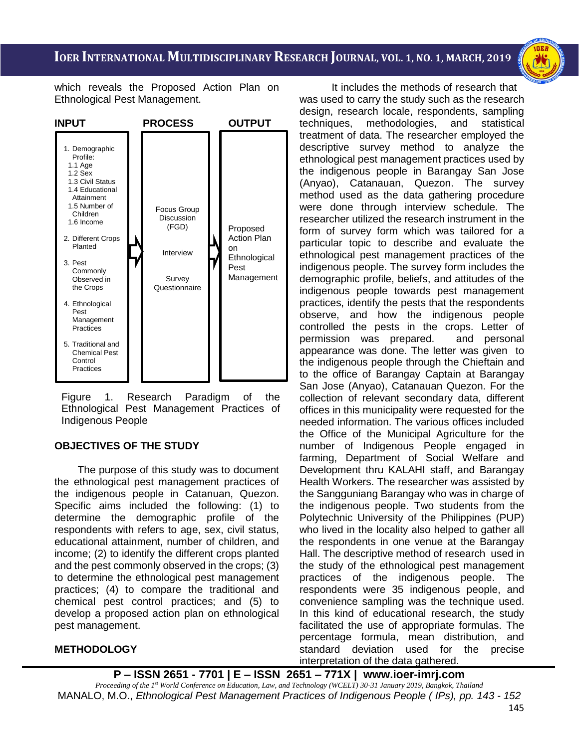i<br>I



which reveals the Proposed Action Plan on Ethnological Pest Management.



Figure 1. Research Paradigm of the Ethnological Pest Management Practices of Indigenous People

## **OBJECTIVES OF THE STUDY**

 The purpose of this study was to document the ethnological pest management practices of the indigenous people in Catanuan, Quezon. Specific aims included the following: (1) to determine the demographic profile of the respondents with refers to age, sex, civil status, educational attainment, number of children, and income; (2) to identify the different crops planted and the pest commonly observed in the crops; (3) to determine the ethnological pest management practices; (4) to compare the traditional and chemical pest control practices; and (5) to develop a proposed action plan on ethnological pest management.

### **METHODOLOGY**

It includes the methods of research that was used to carry the study such as the research design, research locale, respondents, sampling techniques, methodologies, and statistical treatment of data. The researcher employed the descriptive survey method to analyze the ethnological pest management practices used by the indigenous people in Barangay San Jose (Anyao), Catanauan, Quezon. The survey method used as the data gathering procedure were done through interview schedule. The researcher utilized the research instrument in the form of survey form which was tailored for a particular topic to describe and evaluate the ethnological pest management practices of the indigenous people. The survey form includes the demographic profile, beliefs, and attitudes of the indigenous people towards pest management practices, identify the pests that the respondents observe, and how the indigenous people controlled the pests in the crops. Letter of permission was prepared. and personal appearance was done. The letter was given to the indigenous people through the Chieftain and to the office of Barangay Captain at Barangay San Jose (Anyao), Catanauan Quezon. For the collection of relevant secondary data, different offices in this municipality were requested for the needed information. The various offices included the Office of the Municipal Agriculture for the number of Indigenous People engaged in farming, Department of Social Welfare and Development thru KALAHI staff, and Barangay Health Workers. The researcher was assisted by the Sangguniang Barangay who was in charge of the indigenous people. Two students from the Polytechnic University of the Philippines (PUP) who lived in the locality also helped to gather all the respondents in one venue at the Barangay Hall. The descriptive method of research used in the study of the ethnological pest management practices of the indigenous people. The respondents were 35 indigenous people, and convenience sampling was the technique used. In this kind of educational research, the study facilitated the use of appropriate formulas. The percentage formula, mean distribution, and standard deviation used for the precise interpretation of the data gathered.

### **P – ISSN 2651 - 7701 | E – ISSN 2651 – 771X | [www.ioer-imrj.com](http://www.ioer-imrj.com/)**

*Proceeding of the 1st World Conference on Education, Law, and Technology (WCELT) 30-31 January 2019, Bangkok, Thailand* MANALO, M.O., *Ethnological Pest Management Practices of Indigenous People ( IPs), pp. 143 - 152*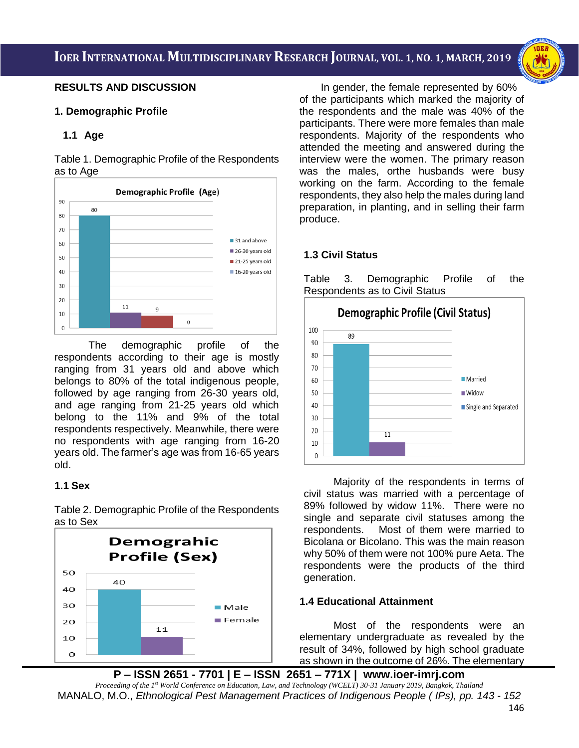i<br>I



#### **RESULTS AND DISCUSSION**

#### **1. Demographic Profile**

### **1.1 Age**

Table 1. Demographic Profile of the Respondents as to Age



The demographic profile of the respondents according to their age is mostly ranging from 31 years old and above which belongs to 80% of the total indigenous people, followed by age ranging from 26-30 years old, and age ranging from 21-25 years old which belong to the 11% and 9% of the total respondents respectively. Meanwhile, there were no respondents with age ranging from 16-20 years old. The farmer's age was from 16-65 years old.

### **1.1 Sex**

Table 2. Demographic Profile of the Respondents as to Sex



In gender, the female represented by 60% of the participants which marked the majority of the respondents and the male was 40% of the participants. There were more females than male respondents. Majority of the respondents who attended the meeting and answered during the interview were the women. The primary reason was the males, orthe husbands were busy working on the farm. According to the female respondents, they also help the males during land preparation, in planting, and in selling their farm produce.

## **1.3 Civil Status**

Table 3. Demographic Profile of the Respondents as to Civil Status



Majority of the respondents in terms of civil status was married with a percentage of 89% followed by widow 11%. There were no single and separate civil statuses among the respondents. Most of them were married to Bicolana or Bicolano. This was the main reason why 50% of them were not 100% pure Aeta. The respondents were the products of the third generation.

### **1.4 Educational Attainment**

 Most of the respondents were an elementary undergraduate as revealed by the result of 34%, followed by high school graduate as shown in the outcome of 26%. The elementary

**P – ISSN 2651 - 7701 | E – ISSN 2651 – 771X | [www.ioer-imrj.com](http://www.ioer-imrj.com/)** *Proceeding of the 1st World Conference on Education, Law, and Technology (WCELT) 30-31 January 2019, Bangkok, Thailand* MANALO, M.O., *Ethnological Pest Management Practices of Indigenous People ( IPs), pp. 143 - 152*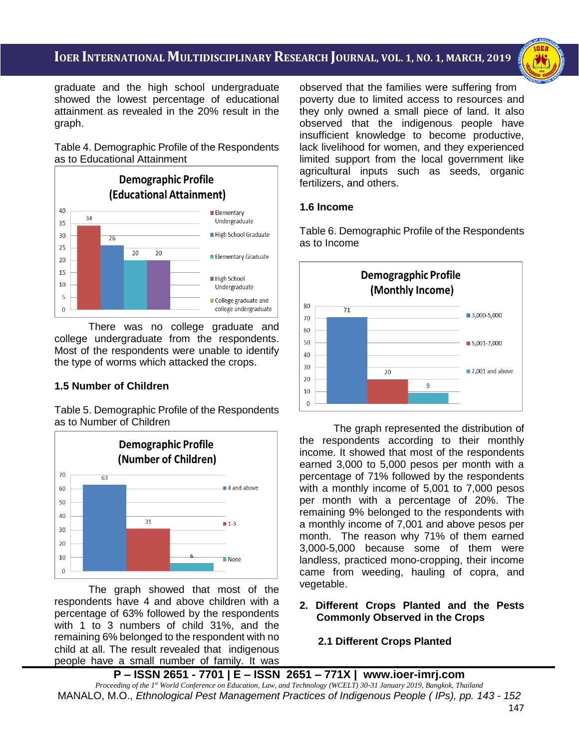i<br>I



graduate and the high school undergraduate showed the lowest percentage of educational attainment as revealed in the 20% result in the graph.

Table 4. Demographic Profile of the Respondents as to Educational Attainment



There was no college graduate and college undergraduate from the respondents. Most of the respondents were unable to identify the type of worms which attacked the crops.

### **1.5 Number of Children**

Table 5. Demographic Profile of the Respondents as to Number of Children



The graph showed that most of the respondents have 4 and above children with a percentage of 63% followed by the respondents with 1 to 3 numbers of child 31%, and the remaining 6% belonged to the respondent with no child at all. The result revealed that indigenous people have a small number of family. It was observed that the families were suffering from poverty due to limited access to resources and they only owned a small piece of land. It also observed that the indigenous people have insufficient knowledge to become productive, lack livelihood for women, and they experienced limited support from the local government like agricultural inputs such as seeds, organic fertilizers, and others.

## **1.6 Income**

Table 6. Demographic Profile of the Respondents as to Income



The graph represented the distribution of the respondents according to their monthly income. It showed that most of the respondents earned 3,000 to 5,000 pesos per month with a percentage of 71% followed by the respondents with a monthly income of 5,001 to 7,000 pesos per month with a percentage of 20%. The remaining 9% belonged to the respondents with a monthly income of 7,001 and above pesos per month. The reason why 71% of them earned 3,000-5,000 because some of them were landless, practiced mono-cropping, their income came from weeding, hauling of copra, and vegetable.

### **2. Different Crops Planted and the Pests Commonly Observed in the Crops**

## **2.1 Different Crops Planted**

**P – ISSN 2651 - 7701 | E – ISSN 2651 – 771X | [www.ioer-imrj.com](http://www.ioer-imrj.com/)** *Proceeding of the 1st World Conference on Education, Law, and Technology (WCELT) 30-31 January 2019, Bangkok, Thailand* MANALO, M.O., *Ethnological Pest Management Practices of Indigenous People ( IPs), pp. 143 - 152*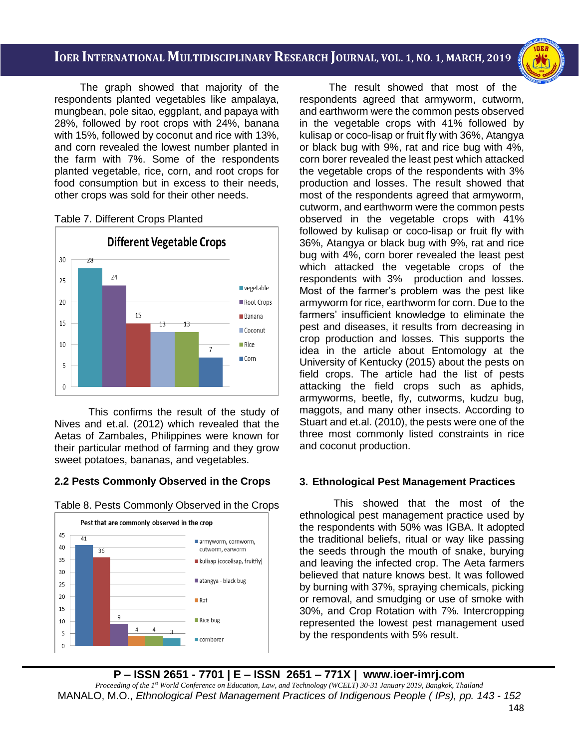i<br>I

The graph showed that majority of the respondents planted vegetables like ampalaya, mungbean, pole sitao, eggplant, and papaya with 28%, followed by root crops with 24%, banana with 15%, followed by coconut and rice with 13%, and corn revealed the lowest number planted in the farm with 7%. Some of the respondents planted vegetable, rice, corn, and root crops for food consumption but in excess to their needs, other crops was sold for their other needs.

### Table 7. Different Crops Planted



This confirms the result of the study of Nives and et.al. (2012) which revealed that the Aetas of Zambales, Philippines were known for their particular method of farming and they grow sweet potatoes, bananas, and vegetables.

### **2.2 Pests Commonly Observed in the Crops**

Table 8. Pests Commonly Observed in the Crops



The result showed that most of the respondents agreed that armyworm, cutworm, and earthworm were the common pests observed in the vegetable crops with 41% followed by kulisap or coco-lisap or fruit fly with 36%, Atangya or black bug with 9%, rat and rice bug with 4%, corn borer revealed the least pest which attacked the vegetable crops of the respondents with 3% production and losses. The result showed that most of the respondents agreed that armyworm, cutworm, and earthworm were the common pests observed in the vegetable crops with 41% followed by kulisap or coco-lisap or fruit fly with 36%, Atangya or black bug with 9%, rat and rice bug with 4%, corn borer revealed the least pest which attacked the vegetable crops of the respondents with 3% production and losses. Most of the farmer's problem was the pest like armyworm for rice, earthworm for corn. Due to the farmers' insufficient knowledge to eliminate the pest and diseases, it results from decreasing in crop production and losses. This supports the idea in the article about Entomology at the University of Kentucky (2015) about the pests on field crops. The article had the list of pests attacking the field crops such as aphids, armyworms, beetle, fly, cutworms, kudzu bug, maggots, and many other insects. According to Stuart and et.al. (2010), the pests were one of the three most commonly listed constraints in rice and coconut production.

### **3. Ethnological Pest Management Practices**

This showed that the most of the ethnological pest management practice used by the respondents with 50% was IGBA. It adopted the traditional beliefs, ritual or way like passing the seeds through the mouth of snake, burying and leaving the infected crop. The Aeta farmers believed that nature knows best. It was followed by burning with 37%, spraying chemicals, picking or removal, and smudging or use of smoke with 30%, and Crop Rotation with 7%. Intercropping represented the lowest pest management used by the respondents with 5% result.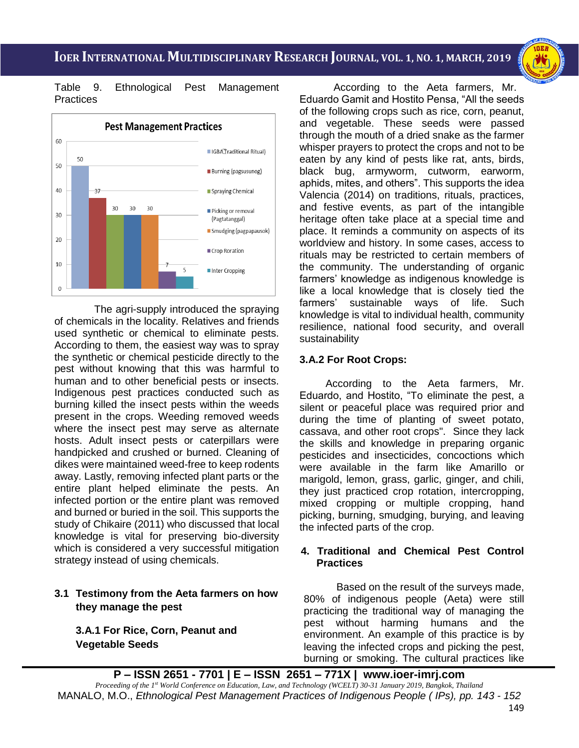i<br>I



Table 9. Ethnological Pest Management **Practices** 



 The agri-supply introduced the spraying of chemicals in the locality. Relatives and friends used synthetic or chemical to eliminate pests. According to them, the easiest way was to spray the synthetic or chemical pesticide directly to the pest without knowing that this was harmful to human and to other beneficial pests or insects. Indigenous pest practices conducted such as burning killed the insect pests within the weeds present in the crops. Weeding removed weeds where the insect pest may serve as alternate hosts. Adult insect pests or caterpillars were handpicked and crushed or burned. Cleaning of dikes were maintained weed-free to keep rodents away. Lastly, removing infected plant parts or the entire plant helped eliminate the pests. An infected portion or the entire plant was removed and burned or buried in the soil. This supports the study of Chikaire (2011) who discussed that local knowledge is vital for preserving bio-diversity which is considered a very successful mitigation strategy instead of using chemicals.

## **3.1 Testimony from the Aeta farmers on how they manage the pest**

**3.A.1 For Rice, Corn, Peanut and Vegetable Seeds**

According to the Aeta farmers, Mr. Eduardo Gamit and Hostito Pensa, "All the seeds of the following crops such as rice, corn, peanut, and vegetable. These seeds were passed through the mouth of a dried snake as the farmer whisper prayers to protect the crops and not to be eaten by any kind of pests like rat, ants, birds, black bug, armyworm, cutworm, earworm, aphids, mites, and others". This supports the idea Valencia (2014) on traditions, rituals, practices, and festive events, as part of the intangible heritage often take place at a special time and place. It reminds a community on aspects of its worldview and history. In some cases, access to rituals may be restricted to certain members of the community. The understanding of organic farmers' knowledge as indigenous knowledge is like a local knowledge that is closely tied the farmers' sustainable ways of life. Such knowledge is vital to individual health, community resilience, national food security, and overall sustainability

### **3.A.2 For Root Crops:**

 According to the Aeta farmers, Mr. Eduardo, and Hostito, "To eliminate the pest, a silent or peaceful place was required prior and during the time of planting of sweet potato, cassava, and other root crops". Since they lack the skills and knowledge in preparing organic pesticides and insecticides, concoctions which were available in the farm like Amarillo or marigold, lemon, grass, garlic, ginger, and chili, they just practiced crop rotation, intercropping, mixed cropping or multiple cropping, hand picking, burning, smudging, burying, and leaving the infected parts of the crop.

### **4. Traditional and Chemical Pest Control Practices**

 Based on the result of the surveys made, 80% of indigenous people (Aeta) were still practicing the traditional way of managing the pest without harming humans and the environment. An example of this practice is by leaving the infected crops and picking the pest, burning or smoking. The cultural practices like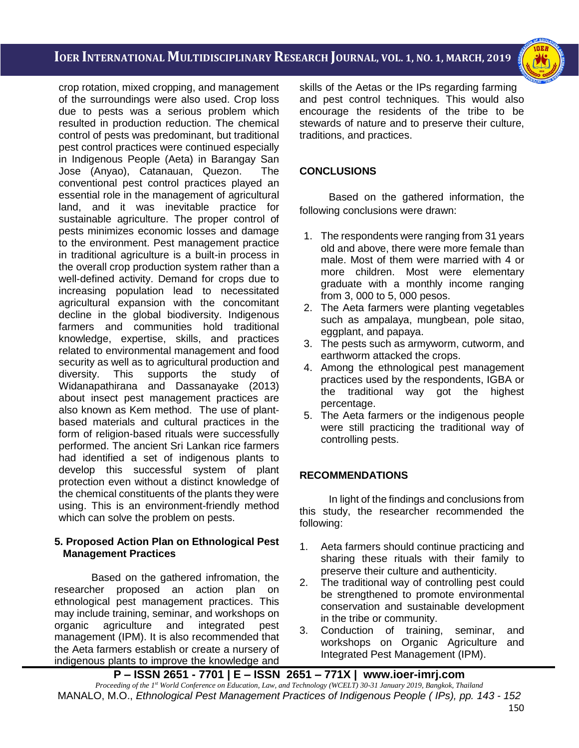i<br>I



crop rotation, mixed cropping, and management of the surroundings were also used. Crop loss due to pests was a serious problem which resulted in production reduction. The chemical control of pests was predominant, but traditional pest control practices were continued especially in Indigenous People (Aeta) in Barangay San Jose (Anyao), Catanauan, Quezon. The conventional pest control practices played an essential role in the management of agricultural land, and it was inevitable practice for sustainable agriculture. The proper control of pests minimizes economic losses and damage to the environment. Pest management practice in traditional agriculture is a built-in process in the overall crop production system rather than a well-defined activity. Demand for crops due to increasing population lead to necessitated agricultural expansion with the concomitant decline in the global biodiversity. Indigenous farmers and communities hold traditional knowledge, expertise, skills, and practices related to environmental management and food security as well as to agricultural production and diversity. This supports the study of Widanapathirana and Dassanayake (2013) about insect pest management practices are also known as Kem method. The use of plantbased materials and cultural practices in the form of religion-based rituals were successfully performed. The ancient Sri Lankan rice farmers had identified a set of indigenous plants to develop this successful system of plant protection even without a distinct knowledge of the chemical constituents of the plants they were using. This is an environment-friendly method which can solve the problem on pests.

#### **5. Proposed Action Plan on Ethnological Pest Management Practices**

Based on the gathered infromation, the researcher proposed an action plan on ethnological pest management practices. This may include training, seminar, and workshops on organic agriculture and integrated pest management (IPM). It is also recommended that the Aeta farmers establish or create a nursery of indigenous plants to improve the knowledge and

skills of the Aetas or the IPs regarding farming and pest control techniques. This would also encourage the residents of the tribe to be stewards of nature and to preserve their culture, traditions, and practices.

## **CONCLUSIONS**

Based on the gathered information, the following conclusions were drawn:

- 1. The respondents were ranging from 31 years old and above, there were more female than male. Most of them were married with 4 or more children. Most were elementary graduate with a monthly income ranging from 3, 000 to 5, 000 pesos.
- 2. The Aeta farmers were planting vegetables such as ampalaya, mungbean, pole sitao, eggplant, and papaya.
- 3. The pests such as armyworm, cutworm, and earthworm attacked the crops.
- 4. Among the ethnological pest management practices used by the respondents, IGBA or the traditional way got the highest percentage.
- 5. The Aeta farmers or the indigenous people were still practicing the traditional way of controlling pests.

## **RECOMMENDATIONS**

In light of the findings and conclusions from this study, the researcher recommended the following:

- 1. Aeta farmers should continue practicing and sharing these rituals with their family to preserve their culture and authenticity.
- 2. The traditional way of controlling pest could be strengthened to promote environmental conservation and sustainable development in the tribe or community.
- 3. Conduction of training, seminar, and workshops on Organic Agriculture and Integrated Pest Management (IPM).

**P – ISSN 2651 - 7701 | E – ISSN 2651 – 771X | [www.ioer-imrj.com](http://www.ioer-imrj.com/)** *Proceeding of the 1st World Conference on Education, Law, and Technology (WCELT) 30-31 January 2019, Bangkok, Thailand* MANALO, M.O., *Ethnological Pest Management Practices of Indigenous People ( IPs), pp. 143 - 152*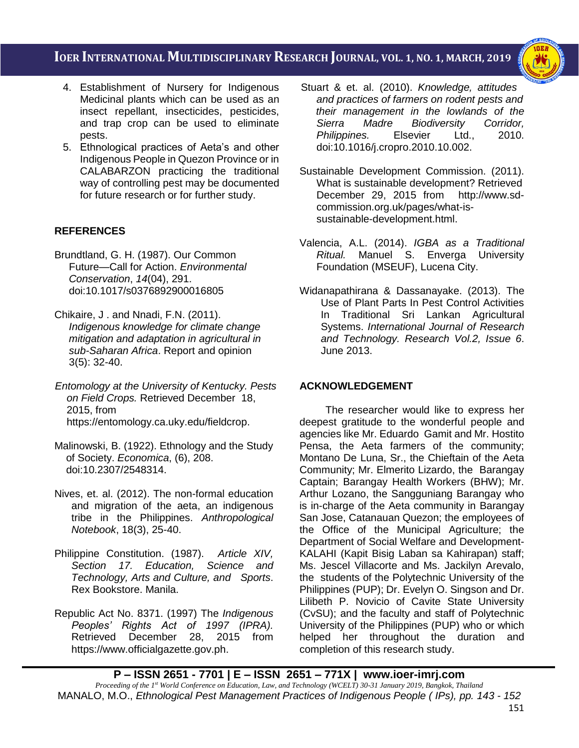i<br>I



- 4. Establishment of Nursery for Indigenous Medicinal plants which can be used as an insect repellant, insecticides, pesticides, and trap crop can be used to eliminate pests.
- 5. Ethnological practices of Aeta's and other Indigenous People in Quezon Province or in CALABARZON practicing the traditional way of controlling pest may be documented for future research or for further study.

## **REFERENCES**

- Brundtland, G. H. (1987). Our Common Future—Call for Action. *Environmental Conservation*, *14*(04), 291. doi:10.1017/s0376892900016805
- Chikaire, J . and Nnadi, F.N. (2011).  *Indigenous knowledge for climate change mitigation and adaptation in agricultural in sub-Saharan Africa*. Report and opinion 3(5): 32-40.
- *Entomology at the University of Kentucky. Pests on Field Crops.* Retrieved December 18, 2015, from [https://entomology.ca.uky.edu/fieldcrop.](https://entomology.ca.uky.edu/fieldcrop)
- Malinowski, B. (1922). Ethnology and the Study of Society. *Economica*, (6), 208. doi:10.2307/2548314.
- Nives, et. al. (2012). The non-formal education and migration of the aeta, an indigenous tribe in the Philippines. *Anthropological Notebook*, 18(3), 25-40.
- Philippine Constitution. (1987). *Article XIV, Section 17. Education, Science and Technology, Arts and Culture, and Sports*. Rex Bookstore. Manila.
- Republic Act No. 8371. (1997) The *Indigenous Peoples' Rights Act of 1997 (IPRA).* Retrieved December 28, 2015 from [https://www.officialgazette.gov.ph.](https://www.officialgazette.gov.ph/)
- Stuart & et. al. (2010). *Knowledge, attitudes and practices of farmers on rodent pests and their management in the lowlands of the Sierra Madre Biodiversity Corridor, Philippines.* Elsevier Ltd., 2010. doi:10.1016/j.cropro.2010.10.002.
- Sustainable Development Commission. (2011). What is sustainable development? Retrieved December 29, 2015 from [http://www.sd](http://www.sd-commission.org.uk/pages/what-is-%20sustainable-development.html)[commission.org.uk/pages/what-is](http://www.sd-commission.org.uk/pages/what-is-%20sustainable-development.html)[sustainable-development.html.](http://www.sd-commission.org.uk/pages/what-is-%20sustainable-development.html)
- Valencia, A.L. (2014). *IGBA as a Traditional Ritual.* Manuel S. Enverga University Foundation (MSEUF), Lucena City.
- Widanapathirana & Dassanayake. (2013). The Use of Plant Parts In Pest Control Activities In Traditional Sri Lankan Agricultural Systems. *International Journal of Research and Technology. Research Vol.2, Issue 6*. June 2013.

## **ACKNOWLEDGEMENT**

 The researcher would like to express her deepest gratitude to the wonderful people and agencies like Mr. Eduardo Gamit and Mr. Hostito Pensa, the Aeta farmers of the community; Montano De Luna, Sr., the Chieftain of the Aeta Community; Mr. Elmerito Lizardo, the Barangay Captain; Barangay Health Workers (BHW); Mr. Arthur Lozano, the Sangguniang Barangay who is in-charge of the Aeta community in Barangay San Jose, Catanauan Quezon; the employees of the Office of the Municipal Agriculture; the Department of Social Welfare and Development-KALAHI (Kapit Bisig Laban sa Kahirapan) staff; Ms. Jescel Villacorte and Ms. Jackilyn Arevalo, the students of the Polytechnic University of the Philippines (PUP); Dr. Evelyn O. Singson and Dr. Lilibeth P. Novicio of Cavite State University (CvSU); and the faculty and staff of Polytechnic University of the Philippines (PUP) who or which helped her throughout the duration and completion of this research study.